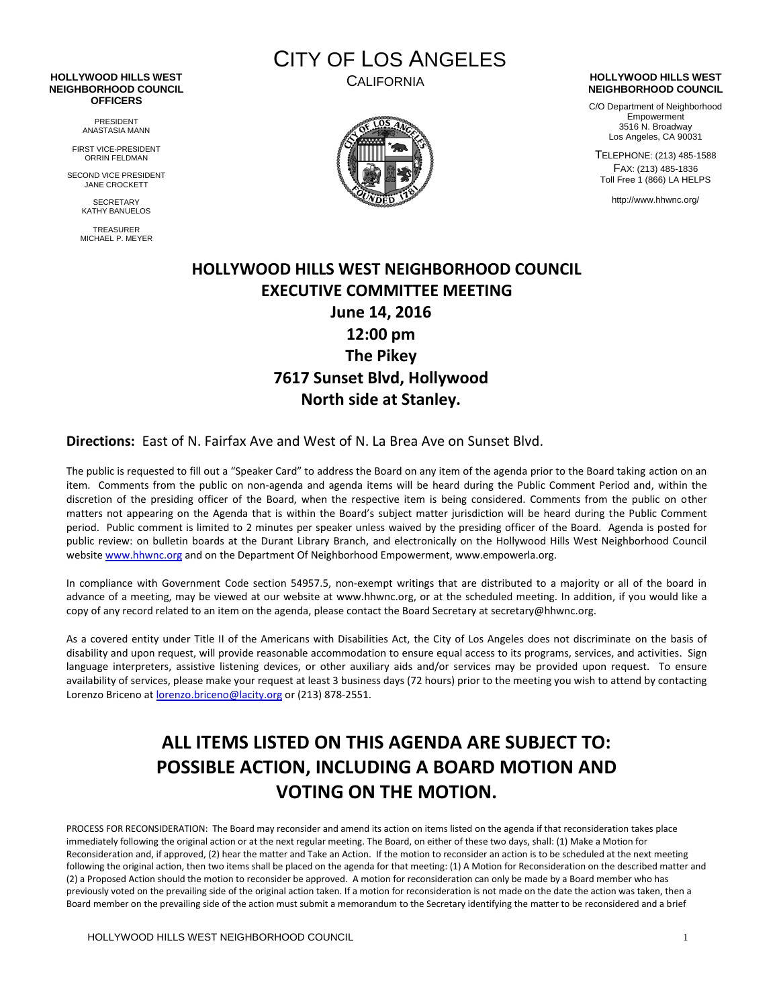#### **HOLLYWOOD HILLS WEST NEIGHBORHOOD COUNCIL OFFICERS**

PRESIDENT ANASTASIA MANN

FIRST VICE-PRESIDENT ORRIN FELDMAN

SECOND VICE PRESIDENT JANE CROCKETT

> **SECRETARY** KATHY BANUELOS

TREASURER MICHAEL P. MEYER CITY OF LOS ANGELES



### CALIFORNIA **HOLLYWOOD HILLS WEST NEIGHBORHOOD COUNCIL**

C/O Department of Neighborhood Empowerment 3516 N. Broadway Los Angeles, CA 90031

TELEPHONE: (213) 485-1588 FAX: (213) 485-1836 Toll Free 1 (866) LA HELPS

http://www.hhwnc.org/

## **HOLLYWOOD HILLS WEST NEIGHBORHOOD COUNCIL EXECUTIVE COMMITTEE MEETING June 14, 2016 12:00 pm The Pikey 7617 Sunset Blvd, Hollywood North side at Stanley.**

### **Directions:** East of N. Fairfax Ave and West of N. La Brea Ave on Sunset Blvd.

The public is requested to fill out a "Speaker Card" to address the Board on any item of the agenda prior to the Board taking action on an item. Comments from the public on non-agenda and agenda items will be heard during the Public Comment Period and, within the discretion of the presiding officer of the Board, when the respective item is being considered. Comments from the public on other matters not appearing on the Agenda that is within the Board's subject matter jurisdiction will be heard during the Public Comment period. Public comment is limited to 2 minutes per speaker unless waived by the presiding officer of the Board. Agenda is posted for public review: on bulletin boards at the Durant Library Branch, and electronically on the Hollywood Hills West Neighborhood Council website [www.hhwnc.org](http://www.hhwnc.org/) and on the Department Of Neighborhood Empowerment, www.empowerla.org.

In compliance with Government Code section 54957.5, non-exempt writings that are distributed to a majority or all of the board in advance of a meeting, may be viewed at our website at www.hhwnc.org, or at the scheduled meeting. In addition, if you would like a copy of any record related to an item on the agenda, please contact the Board Secretary at secretary@hhwnc.org.

As a covered entity under Title II of the Americans with Disabilities Act, the City of Los Angeles does not discriminate on the basis of disability and upon request, will provide reasonable accommodation to ensure equal access to its programs, services, and activities. Sign language interpreters, assistive listening devices, or other auxiliary aids and/or services may be provided upon request. To ensure availability of services, please make your request at least 3 business days (72 hours) prior to the meeting you wish to attend by contacting Lorenzo Briceno at [lorenzo.briceno@lacity.org](mailto:lorenzo.briceno@lacity.org) or (213) 878-2551.

# **ALL ITEMS LISTED ON THIS AGENDA ARE SUBJECT TO: POSSIBLE ACTION, INCLUDING A BOARD MOTION AND VOTING ON THE MOTION.**

PROCESS FOR RECONSIDERATION: The Board may reconsider and amend its action on items listed on the agenda if that reconsideration takes place immediately following the original action or at the next regular meeting. The Board, on either of these two days, shall: (1) Make a Motion for Reconsideration and, if approved, (2) hear the matter and Take an Action. If the motion to reconsider an action is to be scheduled at the next meeting following the original action, then two items shall be placed on the agenda for that meeting: (1) A Motion for Reconsideration on the described matter and (2) a Proposed Action should the motion to reconsider be approved. A motion for reconsideration can only be made by a Board member who has previously voted on the prevailing side of the original action taken. If a motion for reconsideration is not made on the date the action was taken, then a Board member on the prevailing side of the action must submit a memorandum to the Secretary identifying the matter to be reconsidered and a brief